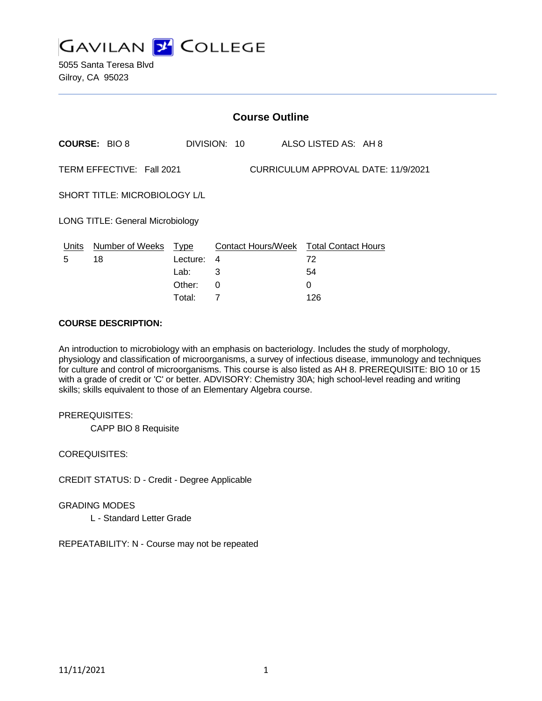

|                                                                  | <b>Course Outline</b> |          |              |                                        |  |
|------------------------------------------------------------------|-----------------------|----------|--------------|----------------------------------------|--|
|                                                                  | <b>COURSE: BIO 8</b>  |          | DIVISION: 10 | ALSO LISTED AS: AH 8                   |  |
| TERM EFFECTIVE: Fall 2021<br>CURRICULUM APPROVAL DATE: 11/9/2021 |                       |          |              |                                        |  |
| SHORT TITLE: MICROBIOLOGY L/L                                    |                       |          |              |                                        |  |
| <b>LONG TITLE: General Microbiology</b>                          |                       |          |              |                                        |  |
| Units                                                            | Number of Weeks Type  |          |              | Contact Hours/Week Total Contact Hours |  |
| 5                                                                | 18                    | Lecture: | 4            | 72                                     |  |
|                                                                  |                       | Lab:     | 3            | 54                                     |  |
|                                                                  |                       | Other:   | 0            | 0                                      |  |
|                                                                  |                       | Total:   |              | 126                                    |  |

#### **COURSE DESCRIPTION:**

An introduction to microbiology with an emphasis on bacteriology. Includes the study of morphology, physiology and classification of microorganisms, a survey of infectious disease, immunology and techniques for culture and control of microorganisms. This course is also listed as AH 8. PREREQUISITE: BIO 10 or 15 with a grade of credit or 'C' or better. ADVISORY: Chemistry 30A; high school-level reading and writing skills; skills equivalent to those of an Elementary Algebra course.

#### PREREQUISITES:

CAPP BIO 8 Requisite

COREQUISITES:

CREDIT STATUS: D - Credit - Degree Applicable

GRADING MODES

L - Standard Letter Grade

REPEATABILITY: N - Course may not be repeated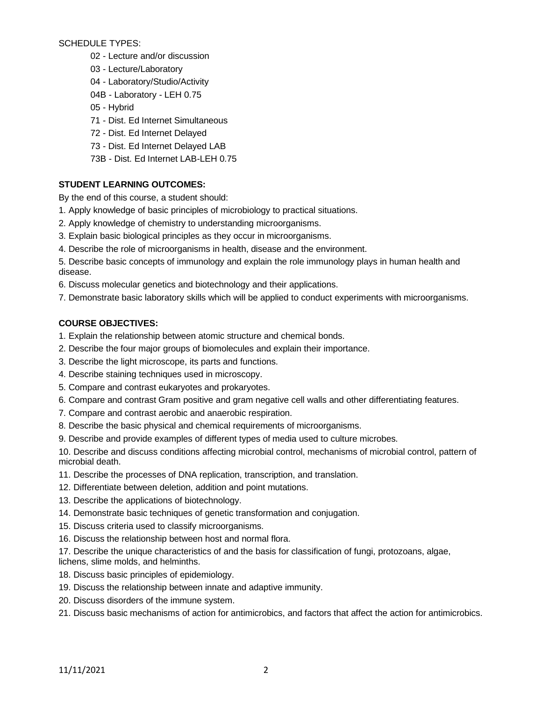SCHEDULE TYPES:

- 02 Lecture and/or discussion
- 03 Lecture/Laboratory
- 04 Laboratory/Studio/Activity
- 04B Laboratory LEH 0.75
- 05 Hybrid
- 71 Dist. Ed Internet Simultaneous
- 72 Dist. Ed Internet Delayed
- 73 Dist. Ed Internet Delayed LAB
- 73B Dist. Ed Internet LAB-LEH 0.75

### **STUDENT LEARNING OUTCOMES:**

By the end of this course, a student should:

- 1. Apply knowledge of basic principles of microbiology to practical situations.
- 2. Apply knowledge of chemistry to understanding microorganisms.
- 3. Explain basic biological principles as they occur in microorganisms.
- 4. Describe the role of microorganisms in health, disease and the environment.
- 5. Describe basic concepts of immunology and explain the role immunology plays in human health and disease.
- 6. Discuss molecular genetics and biotechnology and their applications.
- 7. Demonstrate basic laboratory skills which will be applied to conduct experiments with microorganisms.

### **COURSE OBJECTIVES:**

- 1. Explain the relationship between atomic structure and chemical bonds.
- 2. Describe the four major groups of biomolecules and explain their importance.
- 3. Describe the light microscope, its parts and functions.
- 4. Describe staining techniques used in microscopy.
- 5. Compare and contrast eukaryotes and prokaryotes.
- 6. Compare and contrast Gram positive and gram negative cell walls and other differentiating features.
- 7. Compare and contrast aerobic and anaerobic respiration.
- 8. Describe the basic physical and chemical requirements of microorganisms.
- 9. Describe and provide examples of different types of media used to culture microbes.

10. Describe and discuss conditions affecting microbial control, mechanisms of microbial control, pattern of microbial death.

- 11. Describe the processes of DNA replication, transcription, and translation.
- 12. Differentiate between deletion, addition and point mutations.
- 13. Describe the applications of biotechnology.
- 14. Demonstrate basic techniques of genetic transformation and conjugation.
- 15. Discuss criteria used to classify microorganisms.
- 16. Discuss the relationship between host and normal flora.

17. Describe the unique characteristics of and the basis for classification of fungi, protozoans, algae, lichens, slime molds, and helminths.

- 18. Discuss basic principles of epidemiology.
- 19. Discuss the relationship between innate and adaptive immunity.
- 20. Discuss disorders of the immune system.
- 21. Discuss basic mechanisms of action for antimicrobics, and factors that affect the action for antimicrobics.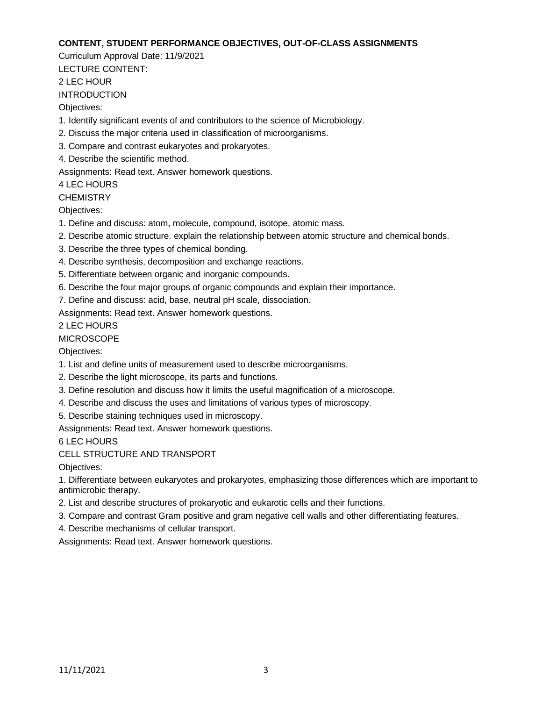### **CONTENT, STUDENT PERFORMANCE OBJECTIVES, OUT-OF-CLASS ASSIGNMENTS**

Curriculum Approval Date: 11/9/2021

LECTURE CONTENT:

2 LEC HOUR

INTRODUCTION

Objectives:

- 1. Identify significant events of and contributors to the science of Microbiology.
- 2. Discuss the major criteria used in classification of microorganisms.
- 3. Compare and contrast eukaryotes and prokaryotes.
- 4. Describe the scientific method.

Assignments: Read text. Answer homework questions.

4 LEC HOURS

**CHEMISTRY** 

Objectives:

- 1. Define and discuss: atom, molecule, compound, isotope, atomic mass.
- 2. Describe atomic structure. explain the relationship between atomic structure and chemical bonds.
- 3. Describe the three types of chemical bonding.
- 4. Describe synthesis, decomposition and exchange reactions.
- 5. Differentiate between organic and inorganic compounds.
- 6. Describe the four major groups of organic compounds and explain their importance.
- 7. Define and discuss: acid, base, neutral pH scale, dissociation.

Assignments: Read text. Answer homework questions.

# 2 LEC HOURS

# **MICROSCOPE**

Objectives:

- 1. List and define units of measurement used to describe microorganisms.
- 2. Describe the light microscope, its parts and functions.
- 3. Define resolution and discuss how it limits the useful magnification of a microscope.
- 4. Describe and discuss the uses and limitations of various types of microscopy.
- 5. Describe staining techniques used in microscopy.

Assignments: Read text. Answer homework questions.

6 LEC HOURS

# CELL STRUCTURE AND TRANSPORT

Objectives:

1. Differentiate between eukaryotes and prokaryotes, emphasizing those differences which are important to antimicrobic therapy.

- 2. List and describe structures of prokaryotic and eukarotic cells and their functions.
- 3. Compare and contrast Gram positive and gram negative cell walls and other differentiating features.
- 4. Describe mechanisms of cellular transport.

Assignments: Read text. Answer homework questions.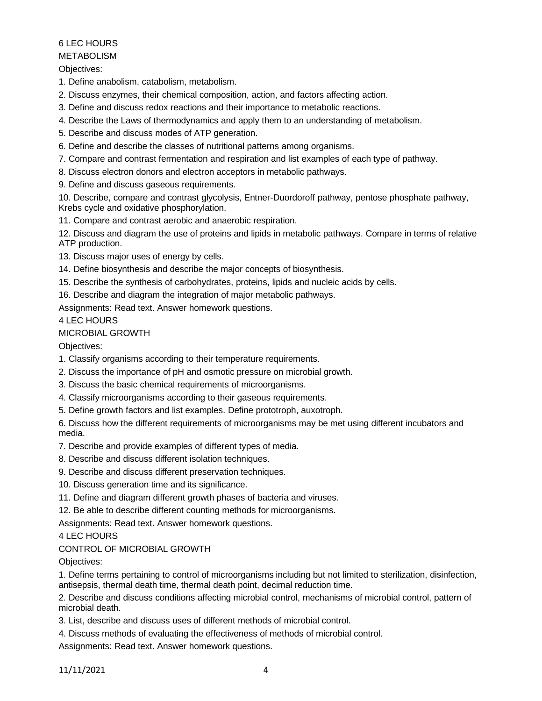## 6 LEC HOURS

#### METABOLISM

Objectives:

1. Define anabolism, catabolism, metabolism.

2. Discuss enzymes, their chemical composition, action, and factors affecting action.

- 3. Define and discuss redox reactions and their importance to metabolic reactions.
- 4. Describe the Laws of thermodynamics and apply them to an understanding of metabolism.
- 5. Describe and discuss modes of ATP generation.
- 6. Define and describe the classes of nutritional patterns among organisms.
- 7. Compare and contrast fermentation and respiration and list examples of each type of pathway.
- 8. Discuss electron donors and electron acceptors in metabolic pathways.
- 9. Define and discuss gaseous requirements.

10. Describe, compare and contrast glycolysis, Entner-Duordoroff pathway, pentose phosphate pathway, Krebs cycle and oxidative phosphorylation.

11. Compare and contrast aerobic and anaerobic respiration.

12. Discuss and diagram the use of proteins and lipids in metabolic pathways. Compare in terms of relative ATP production.

- 13. Discuss major uses of energy by cells.
- 14. Define biosynthesis and describe the major concepts of biosynthesis.
- 15. Describe the synthesis of carbohydrates, proteins, lipids and nucleic acids by cells.
- 16. Describe and diagram the integration of major metabolic pathways.

Assignments: Read text. Answer homework questions.

4 LEC HOURS

### MICROBIAL GROWTH

Objectives:

- 1. Classify organisms according to their temperature requirements.
- 2. Discuss the importance of pH and osmotic pressure on microbial growth.
- 3. Discuss the basic chemical requirements of microorganisms.
- 4. Classify microorganisms according to their gaseous requirements.
- 5. Define growth factors and list examples. Define prototroph, auxotroph.

6. Discuss how the different requirements of microorganisms may be met using different incubators and media.

- 7. Describe and provide examples of different types of media.
- 8. Describe and discuss different isolation techniques.
- 9. Describe and discuss different preservation techniques.
- 10. Discuss generation time and its significance.
- 11. Define and diagram different growth phases of bacteria and viruses.

12. Be able to describe different counting methods for microorganisms.

Assignments: Read text. Answer homework questions.

# 4 LEC HOURS

# CONTROL OF MICROBIAL GROWTH

Objectives:

1. Define terms pertaining to control of microorganisms including but not limited to sterilization, disinfection, antisepsis, thermal death time, thermal death point, decimal reduction time.

2. Describe and discuss conditions affecting microbial control, mechanisms of microbial control, pattern of microbial death.

3. List, describe and discuss uses of different methods of microbial control.

4. Discuss methods of evaluating the effectiveness of methods of microbial control.

Assignments: Read text. Answer homework questions.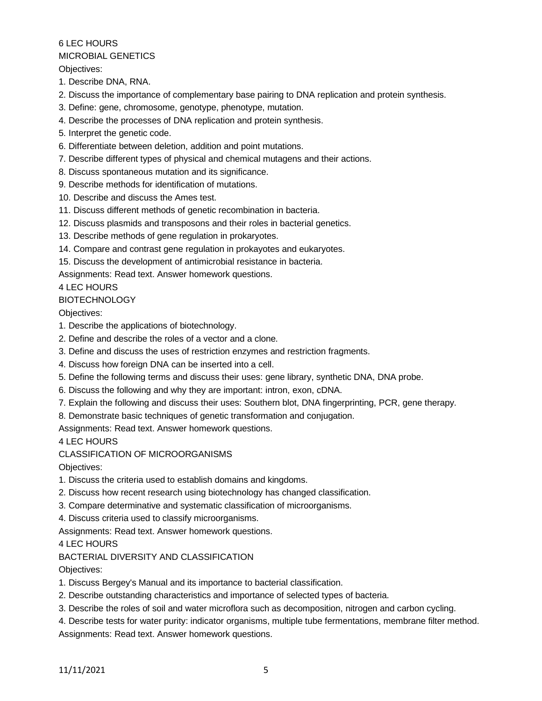#### 6 LEC HOURS MICROBIAL GENETICS

Objectives:

- 1. Describe DNA, RNA.
- 2. Discuss the importance of complementary base pairing to DNA replication and protein synthesis.
- 3. Define: gene, chromosome, genotype, phenotype, mutation.
- 4. Describe the processes of DNA replication and protein synthesis.
- 5. Interpret the genetic code.
- 6. Differentiate between deletion, addition and point mutations.
- 7. Describe different types of physical and chemical mutagens and their actions.
- 8. Discuss spontaneous mutation and its significance.
- 9. Describe methods for identification of mutations.
- 10. Describe and discuss the Ames test.
- 11. Discuss different methods of genetic recombination in bacteria.
- 12. Discuss plasmids and transposons and their roles in bacterial genetics.
- 13. Describe methods of gene regulation in prokaryotes.
- 14. Compare and contrast gene regulation in prokayotes and eukaryotes.
- 15. Discuss the development of antimicrobial resistance in bacteria.

Assignments: Read text. Answer homework questions.

# 4 LEC HOURS

# BIOTECHNOLOGY

Objectives:

- 1. Describe the applications of biotechnology.
- 2. Define and describe the roles of a vector and a clone.
- 3. Define and discuss the uses of restriction enzymes and restriction fragments.
- 4. Discuss how foreign DNA can be inserted into a cell.
- 5. Define the following terms and discuss their uses: gene library, synthetic DNA, DNA probe.
- 6. Discuss the following and why they are important: intron, exon, cDNA.
- 7. Explain the following and discuss their uses: Southern blot, DNA fingerprinting, PCR, gene therapy.
- 8. Demonstrate basic techniques of genetic transformation and conjugation.

Assignments: Read text. Answer homework questions.

4 LEC HOURS

CLASSIFICATION OF MICROORGANISMS

Objectives:

- 1. Discuss the criteria used to establish domains and kingdoms.
- 2. Discuss how recent research using biotechnology has changed classification.
- 3. Compare determinative and systematic classification of microorganisms.
- 4. Discuss criteria used to classify microorganisms.
- Assignments: Read text. Answer homework questions.

4 LEC HOURS

# BACTERIAL DIVERSITY AND CLASSIFICATION

Objectives:

- 1. Discuss Bergey's Manual and its importance to bacterial classification.
- 2. Describe outstanding characteristics and importance of selected types of bacteria.
- 3. Describe the roles of soil and water microflora such as decomposition, nitrogen and carbon cycling.
- 4. Describe tests for water purity: indicator organisms, multiple tube fermentations, membrane filter method. Assignments: Read text. Answer homework questions.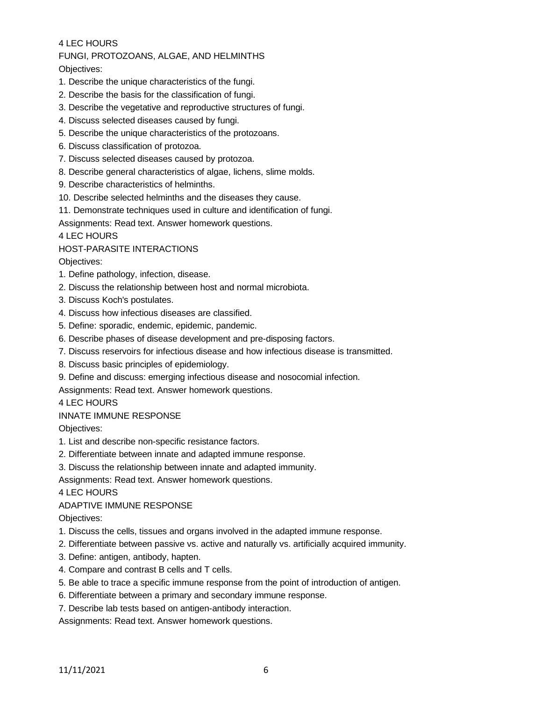## 4 LEC HOURS

# FUNGI, PROTOZOANS, ALGAE, AND HELMINTHS

# Objectives:

- 1. Describe the unique characteristics of the fungi.
- 2. Describe the basis for the classification of fungi.
- 3. Describe the vegetative and reproductive structures of fungi.
- 4. Discuss selected diseases caused by fungi.
- 5. Describe the unique characteristics of the protozoans.
- 6. Discuss classification of protozoa.
- 7. Discuss selected diseases caused by protozoa.
- 8. Describe general characteristics of algae, lichens, slime molds.
- 9. Describe characteristics of helminths.
- 10. Describe selected helminths and the diseases they cause.
- 11. Demonstrate techniques used in culture and identification of fungi.

Assignments: Read text. Answer homework questions.

4 LEC HOURS

### HOST-PARASITE INTERACTIONS

Objectives:

- 1. Define pathology, infection, disease.
- 2. Discuss the relationship between host and normal microbiota.
- 3. Discuss Koch's postulates.
- 4. Discuss how infectious diseases are classified.
- 5. Define: sporadic, endemic, epidemic, pandemic.
- 6. Describe phases of disease development and pre-disposing factors.
- 7. Discuss reservoirs for infectious disease and how infectious disease is transmitted.
- 8. Discuss basic principles of epidemiology.
- 9. Define and discuss: emerging infectious disease and nosocomial infection.

Assignments: Read text. Answer homework questions.

#### 4 LEC HOURS

# INNATE IMMUNE RESPONSE

Objectives:

- 1. List and describe non-specific resistance factors.
- 2. Differentiate between innate and adapted immune response.
- 3. Discuss the relationship between innate and adapted immunity.
- Assignments: Read text. Answer homework questions.

4 LEC HOURS

#### ADAPTIVE IMMUNE RESPONSE

Objectives:

- 1. Discuss the cells, tissues and organs involved in the adapted immune response.
- 2. Differentiate between passive vs. active and naturally vs. artificially acquired immunity.
- 3. Define: antigen, antibody, hapten.
- 4. Compare and contrast B cells and T cells.
- 5. Be able to trace a specific immune response from the point of introduction of antigen.
- 6. Differentiate between a primary and secondary immune response.
- 7. Describe lab tests based on antigen-antibody interaction.

Assignments: Read text. Answer homework questions.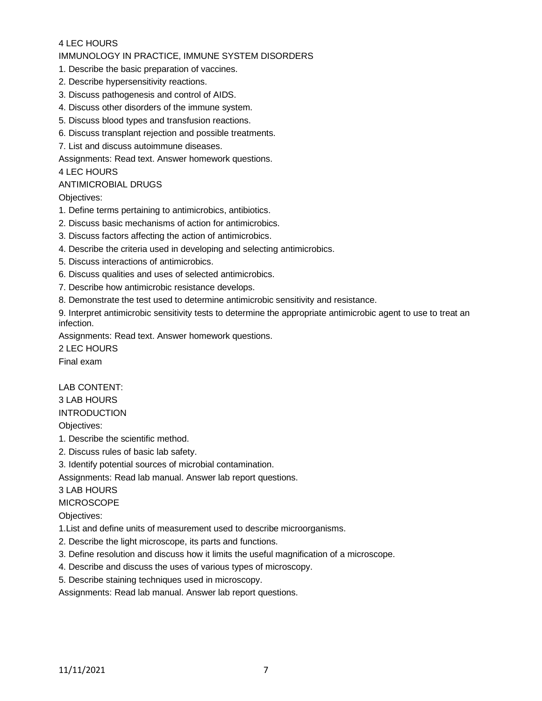### 4 LEC HOURS

#### IMMUNOLOGY IN PRACTICE, IMMUNE SYSTEM DISORDERS

- 1. Describe the basic preparation of vaccines.
- 2. Describe hypersensitivity reactions.
- 3. Discuss pathogenesis and control of AIDS.
- 4. Discuss other disorders of the immune system.
- 5. Discuss blood types and transfusion reactions.
- 6. Discuss transplant rejection and possible treatments.
- 7. List and discuss autoimmune diseases.

Assignments: Read text. Answer homework questions.

#### 4 LEC HOURS

#### ANTIMICROBIAL DRUGS

Objectives:

- 1. Define terms pertaining to antimicrobics, antibiotics.
- 2. Discuss basic mechanisms of action for antimicrobics.
- 3. Discuss factors affecting the action of antimicrobics.
- 4. Describe the criteria used in developing and selecting antimicrobics.
- 5. Discuss interactions of antimicrobics.
- 6. Discuss qualities and uses of selected antimicrobics.
- 7. Describe how antimicrobic resistance develops.
- 8. Demonstrate the test used to determine antimicrobic sensitivity and resistance.

9. Interpret antimicrobic sensitivity tests to determine the appropriate antimicrobic agent to use to treat an infection.

Assignments: Read text. Answer homework questions.

2 LEC HOURS Final exam

#### LAB CONTENT:

3 LAB HOURS

INTRODUCTION

Objectives:

- 1. Describe the scientific method.
- 2. Discuss rules of basic lab safety.
- 3. Identify potential sources of microbial contamination.

Assignments: Read lab manual. Answer lab report questions.

#### 3 LAB HOURS

**MICROSCOPE** 

Objectives:

- 1.List and define units of measurement used to describe microorganisms.
- 2. Describe the light microscope, its parts and functions.
- 3. Define resolution and discuss how it limits the useful magnification of a microscope.
- 4. Describe and discuss the uses of various types of microscopy.
- 5. Describe staining techniques used in microscopy.

Assignments: Read lab manual. Answer lab report questions.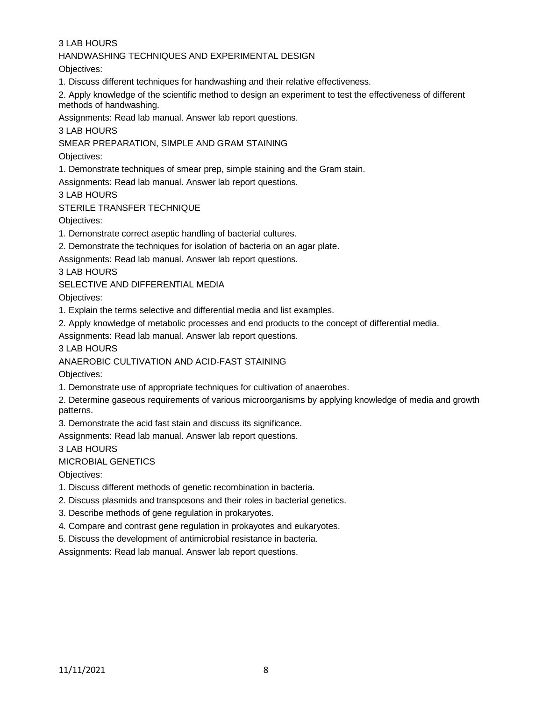3 LAB HOURS

### HANDWASHING TECHNIQUES AND EXPERIMENTAL DESIGN

Objectives:

1. Discuss different techniques for handwashing and their relative effectiveness.

2. Apply knowledge of the scientific method to design an experiment to test the effectiveness of different methods of handwashing.

Assignments: Read lab manual. Answer lab report questions.

3 LAB HOURS

SMEAR PREPARATION, SIMPLE AND GRAM STAINING

Objectives:

1. Demonstrate techniques of smear prep, simple staining and the Gram stain.

Assignments: Read lab manual. Answer lab report questions.

3 LAB HOURS

STERILE TRANSFER TECHNIQUE

Objectives:

1. Demonstrate correct aseptic handling of bacterial cultures.

2. Demonstrate the techniques for isolation of bacteria on an agar plate.

Assignments: Read lab manual. Answer lab report questions.

3 LAB HOURS

SELECTIVE AND DIFFERENTIAL MEDIA

Objectives:

1. Explain the terms selective and differential media and list examples.

2. Apply knowledge of metabolic processes and end products to the concept of differential media.

Assignments: Read lab manual. Answer lab report questions.

3 LAB HOURS

ANAEROBIC CULTIVATION AND ACID-FAST STAINING

Objectives:

1. Demonstrate use of appropriate techniques for cultivation of anaerobes.

2. Determine gaseous requirements of various microorganisms by applying knowledge of media and growth patterns.

3. Demonstrate the acid fast stain and discuss its significance.

Assignments: Read lab manual. Answer lab report questions.

3 LAB HOURS

MICROBIAL GENETICS

Objectives:

1. Discuss different methods of genetic recombination in bacteria.

2. Discuss plasmids and transposons and their roles in bacterial genetics.

3. Describe methods of gene regulation in prokaryotes.

4. Compare and contrast gene regulation in prokayotes and eukaryotes.

5. Discuss the development of antimicrobial resistance in bacteria.

Assignments: Read lab manual. Answer lab report questions.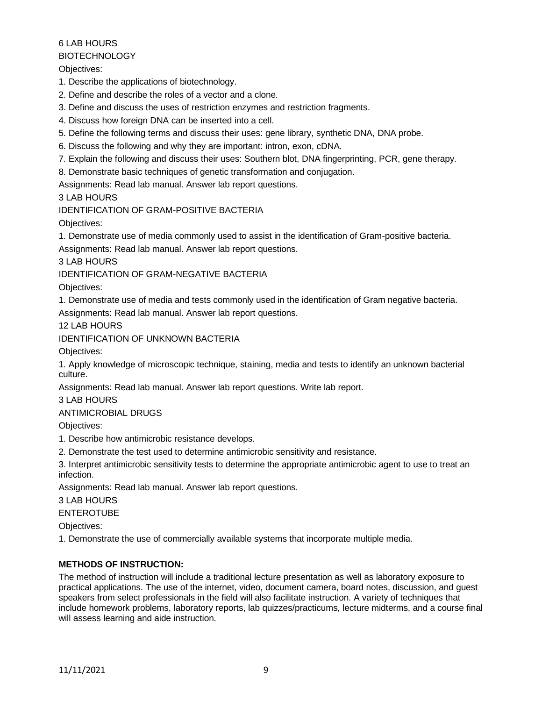# 6 LAB HOURS

**BIOTECHNOLOGY** 

Objectives:

1. Describe the applications of biotechnology.

- 2. Define and describe the roles of a vector and a clone.
- 3. Define and discuss the uses of restriction enzymes and restriction fragments.
- 4. Discuss how foreign DNA can be inserted into a cell.
- 5. Define the following terms and discuss their uses: gene library, synthetic DNA, DNA probe.
- 6. Discuss the following and why they are important: intron, exon, cDNA.
- 7. Explain the following and discuss their uses: Southern blot, DNA fingerprinting, PCR, gene therapy.
- 8. Demonstrate basic techniques of genetic transformation and conjugation.

Assignments: Read lab manual. Answer lab report questions.

3 LAB HOURS

IDENTIFICATION OF GRAM-POSITIVE BACTERIA

Objectives:

1. Demonstrate use of media commonly used to assist in the identification of Gram-positive bacteria.

Assignments: Read lab manual. Answer lab report questions.

3 LAB HOURS

IDENTIFICATION OF GRAM-NEGATIVE BACTERIA

Objectives:

1. Demonstrate use of media and tests commonly used in the identification of Gram negative bacteria. Assignments: Read lab manual. Answer lab report questions.

12 LAB HOURS

IDENTIFICATION OF UNKNOWN BACTERIA

Objectives:

1. Apply knowledge of microscopic technique, staining, media and tests to identify an unknown bacterial culture.

Assignments: Read lab manual. Answer lab report questions. Write lab report.

3 LAB HOURS

#### ANTIMICROBIAL DRUGS

Objectives:

1. Describe how antimicrobic resistance develops.

2. Demonstrate the test used to determine antimicrobic sensitivity and resistance.

3. Interpret antimicrobic sensitivity tests to determine the appropriate antimicrobic agent to use to treat an infection.

Assignments: Read lab manual. Answer lab report questions.

3 LAB HOURS

### ENTEROTUBE

Objectives:

1. Demonstrate the use of commercially available systems that incorporate multiple media.

# **METHODS OF INSTRUCTION:**

The method of instruction will include a traditional lecture presentation as well as laboratory exposure to practical applications. The use of the internet, video, document camera, board notes, discussion, and guest speakers from select professionals in the field will also facilitate instruction. A variety of techniques that include homework problems, laboratory reports, lab quizzes/practicums, lecture midterms, and a course final will assess learning and aide instruction.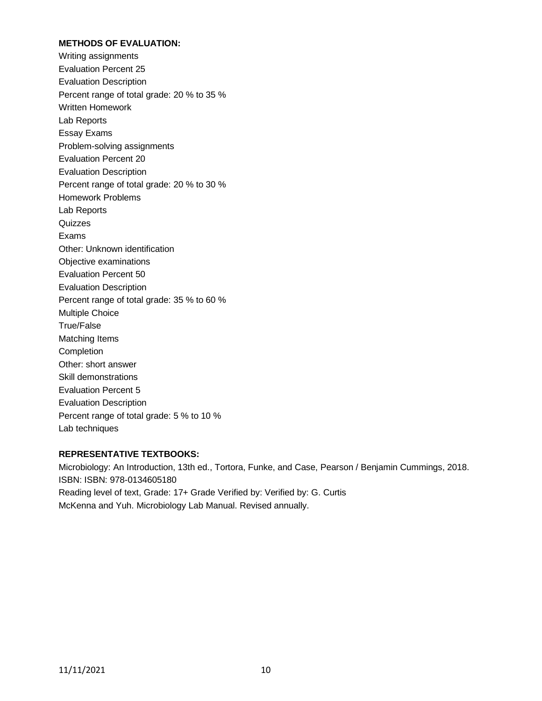### **METHODS OF EVALUATION:**

Writing assignments Evaluation Percent 25 Evaluation Description Percent range of total grade: 20 % to 35 % Written Homework Lab Reports Essay Exams Problem-solving assignments Evaluation Percent 20 Evaluation Description Percent range of total grade: 20 % to 30 % Homework Problems Lab Reports Quizzes Exams Other: Unknown identification Objective examinations Evaluation Percent 50 Evaluation Description Percent range of total grade: 35 % to 60 % Multiple Choice True/False Matching Items Completion Other: short answer Skill demonstrations Evaluation Percent 5 Evaluation Description Percent range of total grade: 5 % to 10 % Lab techniques

#### **REPRESENTATIVE TEXTBOOKS:**

Microbiology: An Introduction, 13th ed., Tortora, Funke, and Case, Pearson / Benjamin Cummings, 2018. ISBN: ISBN: 978-0134605180 Reading level of text, Grade: 17+ Grade Verified by: Verified by: G. Curtis McKenna and Yuh. Microbiology Lab Manual. Revised annually.